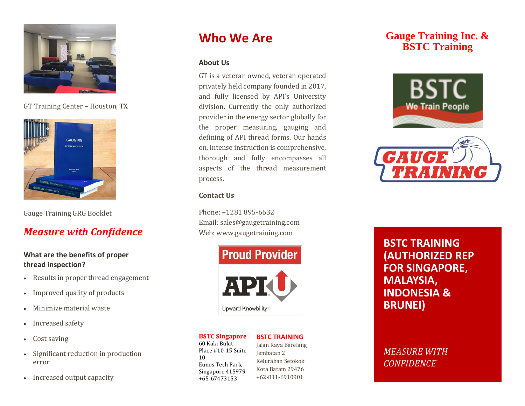

GT Training Center – Houston, TX



Gauge Training GRG Booklet

## *Measure with Confidence*

### **What are the benefits of proper thread inspection?**

- Results in proper thread engagement
- Improved quality of products
- Minimize material waste
- Increased safety
- Cost saving
- Significant reduction in production error
- Increased output capacity

# **Who We Are**

### **About Us**

GT is a veteran owned, veteran operated privately held company founded in 2017, and fully licensed by API's University division. Currently the only authorized provider in the energy sector globally for the proper measuring, gauging and defining of API thread forms. Our hands on, intense instruction is comprehensive, thorough and fully encompasses all aspects of the thread measurement process.

### **Contact Us**

Phone: +1281 895-6632 Email: sales@gaugetraining.com Web[: www.gaugetraining.com](http://www.gaugetraining.com/)



#### **BSTC Singapore** 60 Kaki Bukit Place #10-15 Suite

10

### **BSTC TRAINING**

Eunos Tech Park, Singapore 415979 +65-67473153 Jalan Raya Barelang Jembatan 2 Kelurahan Setokok Kota Batam 29476 +62-811-6910901

### **Gauge Training Inc. & BSTC Training**





**BSTC TRAINING (AUTHORIZED REP FOR SINGAPORE, MALAYSIA, INDONESIA & BRUNEI)**

### *MEASURE WITH CONFIDENCE*